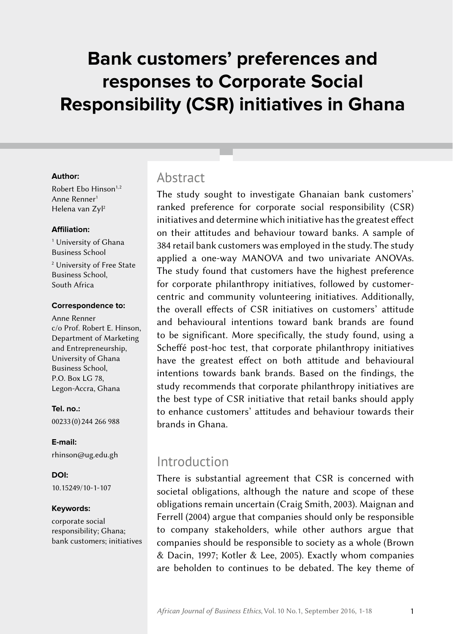# **Bank customers' preferences and responses to Corporate Social Responsibility (CSR) initiatives in Ghana**

#### **Author:**

Robert Ebo Hinson<sup>1,2</sup> Anne Renner<sup>1</sup> Helena van Zyl2

#### **Affiliation:**

1 University of Ghana Business School

2 University of Free State Business School, South Africa

#### **Correspondence to:**

Anne Renner c/o Prof. Robert E. Hinson, Department of Marketing and Entrepreneurship, University of Ghana Business School, P.O. Box LG 78, Legon-Accra, Ghana

**Tel. no.:** 00233 (0) 244 266 988

**E‑mail:** [rhinson@ug.edu.gh](mailto:rhinson%40ug.edu.gh?subject=)

**DOI:** [10.15249/10-1-107](http://dx.doi.org/10.15249/10-1-107)

#### **Keywords:**

corporate social responsibility; Ghana; bank customers; initiatives

### Abstract

The study sought to investigate Ghanaian bank customers' ranked preference for corporate social responsibility (CSR) initiatives and determine which initiative has the greatest effect on their attitudes and behaviour toward banks. A sample of 384 retail bank customers was employed in the study. The study applied a one-way MANOVA and two univariate ANOVAs. The study found that customers have the highest preference for corporate philanthropy initiatives, followed by customercentric and community volunteering initiatives. Additionally, the overall effects of CSR initiatives on customers' attitude and behavioural intentions toward bank brands are found to be significant. More specifically, the study found, using a Scheffé post-hoc test, that corporate philanthropy initiatives have the greatest effect on both attitude and behavioural intentions towards bank brands. Based on the findings, the study recommends that corporate philanthropy initiatives are the best type of CSR initiative that retail banks should apply to enhance customers' attitudes and behaviour towards their brands in Ghana.

### Introduction

There is substantial agreement that CSR is concerned with societal obligations, although the nature and scope of these obligations remain uncertain (Craig Smith, 2003). Maignan and Ferrell (2004) argue that companies should only be responsible to company stakeholders, while other authors argue that companies should be responsible to society as a whole (Brown & Dacin, 1997; Kotler & Lee, 2005). Exactly whom companies are beholden to continues to be debated. The key theme of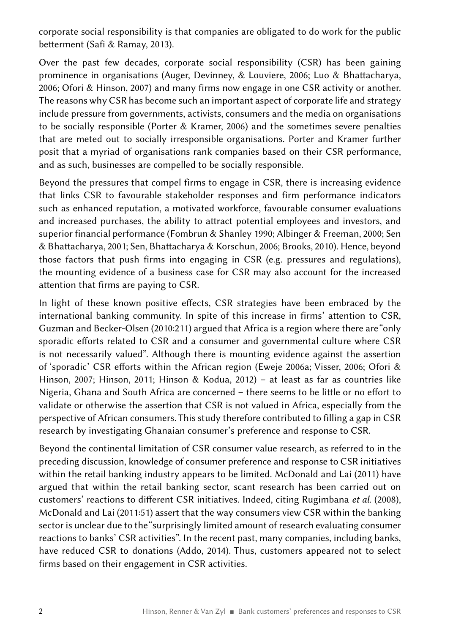corporate social responsibility is that companies are obligated to do work for the public betterment (Safi & Ramay, 2013).

Over the past few decades, corporate social responsibility (CSR) has been gaining prominence in organisations (Auger, Devinney, & Louviere, 2006; Luo & Bhattacharya, 2006; Ofori & Hinson, 2007) and many firms now engage in one CSR activity or another. The reasons why CSR has become such an important aspect of corporate life and strategy include pressure from governments, activists, consumers and the media on organisations to be socially responsible (Porter & Kramer, 2006) and the sometimes severe penalties that are meted out to socially irresponsible organisations. Porter and Kramer further posit that a myriad of organisations rank companies based on their CSR performance, and as such, businesses are compelled to be socially responsible.

Beyond the pressures that compel firms to engage in CSR, there is increasing evidence that links CSR to favourable stakeholder responses and firm performance indicators such as enhanced reputation, a motivated workforce, favourable consumer evaluations and increased purchases, the ability to attract potential employees and investors, and superior financial performance (Fombrun & Shanley 1990; Albinger & Freeman, 2000; Sen & Bhattacharya, 2001; Sen, Bhattacharya & Korschun, 2006; Brooks, 2010). Hence, beyond those factors that push firms into engaging in CSR (e.g. pressures and regulations), the mounting evidence of a business case for CSR may also account for the increased attention that firms are paying to CSR.

In light of these known positive effects, CSR strategies have been embraced by the international banking community. In spite of this increase in firms' attention to CSR, Guzman and Becker-Olsen (2010:211) argued that Africa is a region where there are "only sporadic efforts related to CSR and a consumer and governmental culture where CSR is not necessarily valued". Although there is mounting evidence against the assertion of 'sporadic' CSR efforts within the African region (Eweje 2006a; Visser, 2006; Ofori & Hinson, 2007; Hinson, 2011; Hinson & Kodua, 2012) – at least as far as countries like Nigeria, Ghana and South Africa are concerned – there seems to be little or no effort to validate or otherwise the assertion that CSR is not valued in Africa, especially from the perspective of African consumers. This study therefore contributed to filling a gap in CSR research by investigating Ghanaian consumer's preference and response to CSR.

Beyond the continental limitation of CSR consumer value research, as referred to in the preceding discussion, knowledge of consumer preference and response to CSR initiatives within the retail banking industry appears to be limited. McDonald and Lai (2011) have argued that within the retail banking sector, scant research has been carried out on customers' reactions to different CSR initiatives. Indeed, citing Rugimbana *et al.* (2008), McDonald and Lai (2011:51) assert that the way consumers view CSR within the banking sector is unclear due to the "surprisingly limited amount of research evaluating consumer reactions to banks' CSR activities". In the recent past, many companies, including banks, have reduced CSR to donations (Addo, 2014). Thus, customers appeared not to select firms based on their engagement in CSR activities.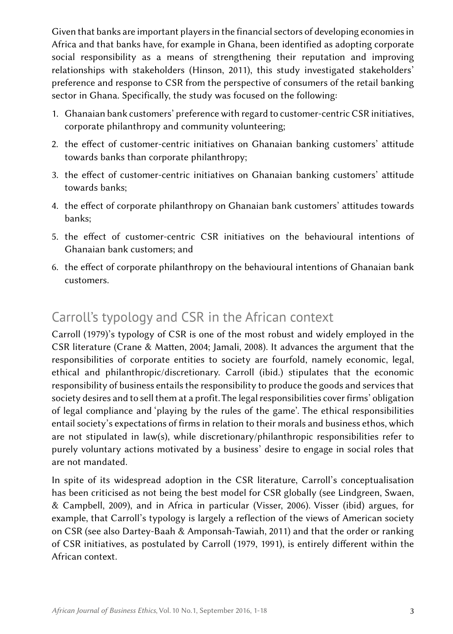Given that banks are important players in the financial sectors of developing economies in Africa and that banks have, for example in Ghana, been identified as adopting corporate social responsibility as a means of strengthening their reputation and improving relationships with stakeholders (Hinson, 2011), this study investigated stakeholders' preference and response to CSR from the perspective of consumers of the retail banking sector in Ghana. Specifically, the study was focused on the following:

- 1. Ghanaian bank customers' preference with regard to customer-centric CSR initiatives, corporate philanthropy and community volunteering;
- 2. the effect of customer-centric initiatives on Ghanaian banking customers' attitude towards banks than corporate philanthropy;
- 3. the effect of customer-centric initiatives on Ghanaian banking customers' attitude towards banks;
- 4. the effect of corporate philanthropy on Ghanaian bank customers' attitudes towards banks;
- 5. the effect of customer-centric CSR initiatives on the behavioural intentions of Ghanaian bank customers; and
- 6. the effect of corporate philanthropy on the behavioural intentions of Ghanaian bank customers.

# Carroll's typology and CSR in the African context

Carroll (1979)'s typology of CSR is one of the most robust and widely employed in the CSR literature (Crane & Matten, 2004; Jamali, 2008). It advances the argument that the responsibilities of corporate entities to society are fourfold, namely economic, legal, ethical and philanthropic/discretionary. Carroll (ibid.) stipulates that the economic responsibility of business entails the responsibility to produce the goods and services that society desires and to sell them at a profit. The legal responsibilities cover firms' obligation of legal compliance and 'playing by the rules of the game'. The ethical responsibilities entail society's expectations of firms in relation to their morals and business ethos, which are not stipulated in law(s), while discretionary/philanthropic responsibilities refer to purely voluntary actions motivated by a business' desire to engage in social roles that are not mandated.

In spite of its widespread adoption in the CSR literature, Carroll's conceptualisation has been criticised as not being the best model for CSR globally (see Lindgreen, Swaen, & Campbell, 2009), and in Africa in particular (Visser, 2006). Visser (ibid) argues, for example, that Carroll's typology is largely a reflection of the views of American society on CSR (see also Dartey-Baah & Amponsah-Tawiah, 2011) and that the order or ranking of CSR initiatives, as postulated by Carroll (1979, 1991), is entirely different within the African context.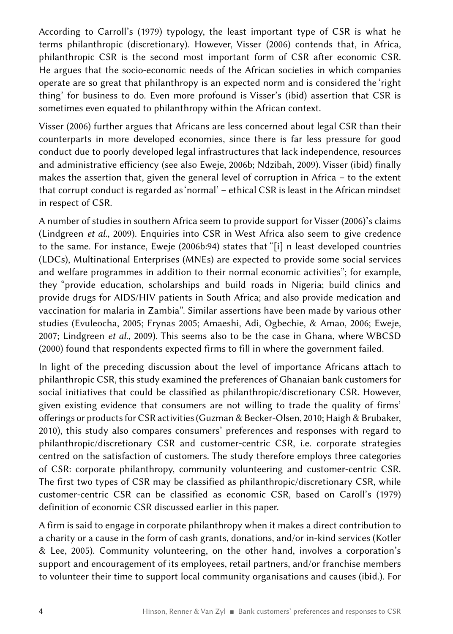According to Carroll's (1979) typology, the least important type of CSR is what he terms philanthropic (discretionary). However, Visser (2006) contends that, in Africa, philanthropic CSR is the second most important form of CSR after economic CSR. He argues that the socio-economic needs of the African societies in which companies operate are so great that philanthropy is an expected norm and is considered the 'right thing' for business to do. Even more profound is Visser's (ibid) assertion that CSR is sometimes even equated to philanthropy within the African context.

Visser (2006) further argues that Africans are less concerned about legal CSR than their counterparts in more developed economies, since there is far less pressure for good conduct due to poorly developed legal infrastructures that lack independence, resources and administrative efficiency (see also Eweje, 2006b; Ndzibah, 2009). Visser (ibid) finally makes the assertion that, given the general level of corruption in Africa – to the extent that corrupt conduct is regarded as 'normal' – ethical CSR is least in the African mindset in respect of CSR.

A number of studies in southern Africa seem to provide support for Visser (2006)'s claims (Lindgreen *et al.*, 2009). Enquiries into CSR in West Africa also seem to give credence to the same. For instance, Eweje (2006b:94) states that "[i] n least developed countries (LDCs), Multinational Enterprises (MNEs) are expected to provide some social services and welfare programmes in addition to their normal economic activities"; for example, they "provide education, scholarships and build roads in Nigeria; build clinics and provide drugs for AIDS/HIV patients in South Africa; and also provide medication and vaccination for malaria in Zambia". Similar assertions have been made by various other studies (Evuleocha, 2005; Frynas 2005; Amaeshi, Adi, Ogbechie, & Amao, 2006; Eweje, 2007; Lindgreen *et al.*, 2009). This seems also to be the case in Ghana, where WBCSD (2000) found that respondents expected firms to fill in where the government failed.

In light of the preceding discussion about the level of importance Africans attach to philanthropic CSR, this study examined the preferences of Ghanaian bank customers for social initiatives that could be classified as philanthropic/discretionary CSR. However, given existing evidence that consumers are not willing to trade the quality of firms' offerings or products for CSR activities (Guzman & Becker-Olsen, 2010; Haigh & Brubaker, 2010), this study also compares consumers' preferences and responses with regard to philanthropic/discretionary CSR and customer-centric CSR, i.e. corporate strategies centred on the satisfaction of customers. The study therefore employs three categories of CSR: corporate philanthropy, community volunteering and customer-centric CSR. The first two types of CSR may be classified as philanthropic/discretionary CSR, while customer-centric CSR can be classified as economic CSR, based on Caroll's (1979) definition of economic CSR discussed earlier in this paper.

A firm is said to engage in corporate philanthropy when it makes a direct contribution to a charity or a cause in the form of cash grants, donations, and/or in-kind services (Kotler & Lee, 2005). Community volunteering, on the other hand, involves a corporation's support and encouragement of its employees, retail partners, and/or franchise members to volunteer their time to support local community organisations and causes (ibid.). For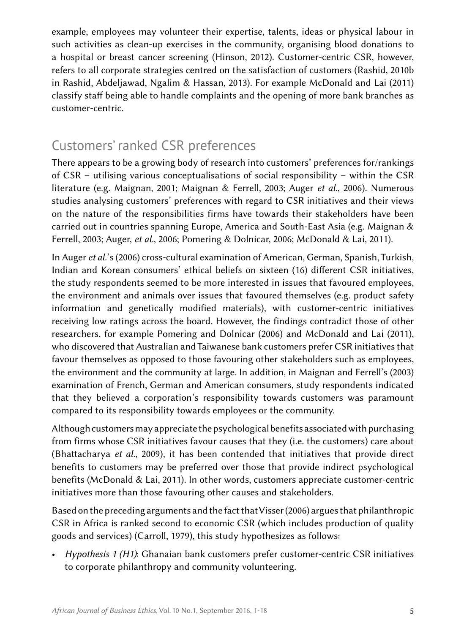example, employees may volunteer their expertise, talents, ideas or physical labour in such activities as clean-up exercises in the community, organising blood donations to a hospital or breast cancer screening (Hinson, 2012). Customer-centric CSR, however, refers to all corporate strategies centred on the satisfaction of customers (Rashid, 2010b in Rashid, Abdeljawad, Ngalim & Hassan, 2013). For example McDonald and Lai (2011) classify staff being able to handle complaints and the opening of more bank branches as customer-centric.

# Customers' ranked CSR preferences

There appears to be a growing body of research into customers' preferences for/rankings of CSR – utilising various conceptualisations of social responsibility – within the CSR literature (e.g. Maignan, 2001; Maignan & Ferrell, 2003; Auger *et al.*, 2006). Numerous studies analysing customers' preferences with regard to CSR initiatives and their views on the nature of the responsibilities firms have towards their stakeholders have been carried out in countries spanning Europe, America and South-East Asia (e.g. Maignan & Ferrell, 2003; Auger, *et al.*, 2006; Pomering & Dolnicar, 2006; McDonald & Lai, 2011).

In Auger *et al.*'s (2006) cross-cultural examination of American, German, Spanish, Turkish, Indian and Korean consumers' ethical beliefs on sixteen (16) different CSR initiatives, the study respondents seemed to be more interested in issues that favoured employees, the environment and animals over issues that favoured themselves (e.g. product safety information and genetically modified materials), with customer-centric initiatives receiving low ratings across the board. However, the findings contradict those of other researchers, for example Pomering and Dolnicar (2006) and McDonald and Lai (2011), who discovered that Australian and Taiwanese bank customers prefer CSR initiatives that favour themselves as opposed to those favouring other stakeholders such as employees, the environment and the community at large. In addition, in Maignan and Ferrell's (2003) examination of French, German and American consumers, study respondents indicated that they believed a corporation's responsibility towards customers was paramount compared to its responsibility towards employees or the community.

Although customers may appreciate the psychological benefits associated with purchasing from firms whose CSR initiatives favour causes that they (i.e. the customers) care about (Bhattacharya *et al.*, 2009), it has been contended that initiatives that provide direct benefits to customers may be preferred over those that provide indirect psychological benefits (McDonald & Lai, 2011). In other words, customers appreciate customer-centric initiatives more than those favouring other causes and stakeholders.

Based on the preceding arguments and the fact that Visser (2006) argues that philanthropic CSR in Africa is ranked second to economic CSR (which includes production of quality goods and services) (Carroll, 1979), this study hypothesizes as follows:

• *Hypothesis 1 (H1)*: Ghanaian bank customers prefer customer-centric CSR initiatives to corporate philanthropy and community volunteering.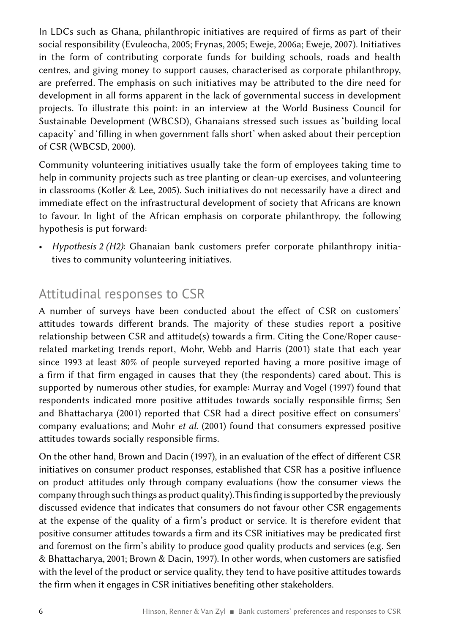In LDCs such as Ghana, philanthropic initiatives are required of firms as part of their social responsibility (Evuleocha, 2005; Frynas, 2005; Eweje, 2006a; Eweje, 2007). Initiatives in the form of contributing corporate funds for building schools, roads and health centres, and giving money to support causes, characterised as corporate philanthropy, are preferred. The emphasis on such initiatives may be attributed to the dire need for development in all forms apparent in the lack of governmental success in development projects. To illustrate this point: in an interview at the World Business Council for Sustainable Development (WBCSD), Ghanaians stressed such issues as 'building local capacity' and 'filling in when government falls short' when asked about their perception of CSR (WBCSD, 2000).

Community volunteering initiatives usually take the form of employees taking time to help in community projects such as tree planting or clean-up exercises, and volunteering in classrooms (Kotler & Lee, 2005). Such initiatives do not necessarily have a direct and immediate effect on the infrastructural development of society that Africans are known to favour. In light of the African emphasis on corporate philanthropy, the following hypothesis is put forward:

• *Hypothesis  2  (H2)*: Ghanaian bank customers prefer corporate philanthropy initiatives to community volunteering initiatives.

# Attitudinal responses to CSR

A number of surveys have been conducted about the effect of CSR on customers' attitudes towards different brands. The majority of these studies report a positive relationship between CSR and attitude(s) towards a firm. Citing the Cone/Roper causerelated marketing trends report, Mohr, Webb and Harris (2001) state that each year since 1993 at least 80% of people surveyed reported having a more positive image of a firm if that firm engaged in causes that they (the respondents) cared about. This is supported by numerous other studies, for example: Murray and Vogel (1997) found that respondents indicated more positive attitudes towards socially responsible firms; Sen and Bhattacharya (2001) reported that CSR had a direct positive effect on consumers' company evaluations; and Mohr *et al.* (2001) found that consumers expressed positive attitudes towards socially responsible firms.

On the other hand, Brown and Dacin (1997), in an evaluation of the effect of different CSR initiatives on consumer product responses, established that CSR has a positive influence on product attitudes only through company evaluations (how the consumer views the company through such things as product quality). This finding is supported by the previously discussed evidence that indicates that consumers do not favour other CSR engagements at the expense of the quality of a firm's product or service. It is therefore evident that positive consumer attitudes towards a firm and its CSR initiatives may be predicated first and foremost on the firm's ability to produce good quality products and services (e.g. Sen & Bhattacharya, 2001; Brown & Dacin, 1997). In other words, when customers are satisfied with the level of the product or service quality, they tend to have positive attitudes towards the firm when it engages in CSR initiatives benefiting other stakeholders.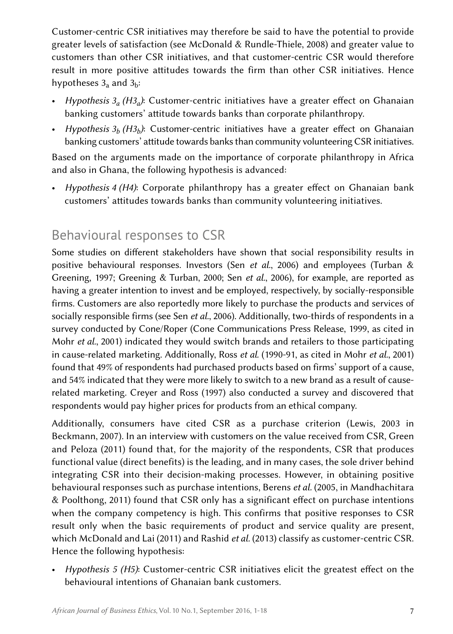Customer-centric CSR initiatives may therefore be said to have the potential to provide greater levels of satisfaction (see McDonald & Rundle-Thiele, 2008) and greater value to customers than other CSR initiatives, and that customer-centric CSR would therefore result in more positive attitudes towards the firm than other CSR initiatives. Hence hypotheses  $3_a$  and  $3_b$ :

- *Hypothesis  3a  (H3a)*: Customer-centric initiatives have a greater effect on Ghanaian banking customers' attitude towards banks than corporate philanthropy.
- *Hypothesis* 3<sub>b</sub> (H3<sub>b</sub>): Customer-centric initiatives have a greater effect on Ghanaian banking customers' attitude towards banks than community volunteering CSR initiatives.

Based on the arguments made on the importance of corporate philanthropy in Africa and also in Ghana, the following hypothesis is advanced:

• *Hypothesis  4  (H4)*: Corporate philanthropy has a greater effect on Ghanaian bank customers' attitudes towards banks than community volunteering initiatives.

# Behavioural responses to CSR

Some studies on different stakeholders have shown that social responsibility results in positive behavioural responses. Investors (Sen *et al.*, 2006) and employees (Turban & Greening, 1997; Greening & Turban, 2000; Sen *et al.*, 2006), for example, are reported as having a greater intention to invest and be employed, respectively, by socially-responsible firms. Customers are also reportedly more likely to purchase the products and services of socially responsible firms (see Sen *et al.*, 2006). Additionally, two-thirds of respondents in a survey conducted by Cone/Roper (Cone Communications Press Release, 1999, as cited in Mohr *et al.*, 2001) indicated they would switch brands and retailers to those participating in cause-related marketing. Additionally, Ross *et al.* (1990-91, as cited in Mohr *et al.*, 2001) found that 49% of respondents had purchased products based on firms' support of a cause, and 54% indicated that they were more likely to switch to a new brand as a result of causerelated marketing. Creyer and Ross (1997) also conducted a survey and discovered that respondents would pay higher prices for products from an ethical company.

Additionally, consumers have cited CSR as a purchase criterion (Lewis, 2003 in Beckmann, 2007). In an interview with customers on the value received from CSR, Green and Peloza (2011) found that, for the majority of the respondents, CSR that produces functional value (direct benefits) is the leading, and in many cases, the sole driver behind integrating CSR into their decision-making processes. However, in obtaining positive behavioural responses such as purchase intentions, Berens *et al.* (2005, in Mandhachitara & Poolthong, 2011) found that CSR only has a significant effect on purchase intentions when the company competency is high. This confirms that positive responses to CSR result only when the basic requirements of product and service quality are present, which McDonald and Lai (2011) and Rashid *et al.* (2013) classify as customer-centric CSR. Hence the following hypothesis:

• *Hypothesis 5 (H5)*: Customer-centric CSR initiatives elicit the greatest effect on the behavioural intentions of Ghanaian bank customers.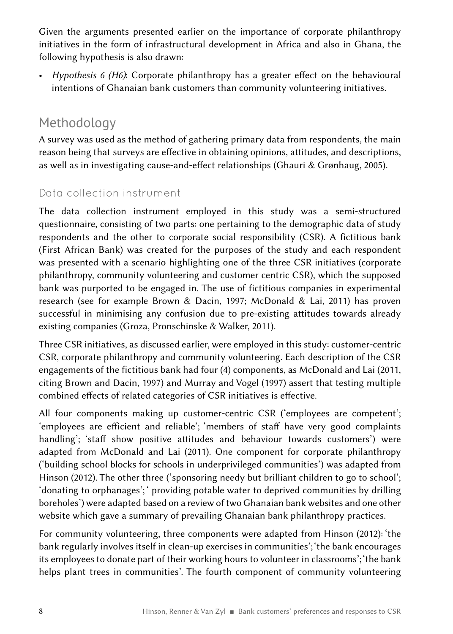Given the arguments presented earlier on the importance of corporate philanthropy initiatives in the form of infrastructural development in Africa and also in Ghana, the following hypothesis is also drawn:

• *Hypothesis 6 (H6)*: Corporate philanthropy has a greater effect on the behavioural intentions of Ghanaian bank customers than community volunteering initiatives.

# Methodology

A survey was used as the method of gathering primary data from respondents, the main reason being that surveys are effective in obtaining opinions, attitudes, and descriptions, as well as in investigating cause-and-effect relationships (Ghauri & Grønhaug, 2005).

### Data collection instrument

The data collection instrument employed in this study was a semi-structured questionnaire, consisting of two parts: one pertaining to the demographic data of study respondents and the other to corporate social responsibility (CSR). A fictitious bank (First African Bank) was created for the purposes of the study and each respondent was presented with a scenario highlighting one of the three CSR initiatives (corporate philanthropy, community volunteering and customer centric CSR), which the supposed bank was purported to be engaged in. The use of fictitious companies in experimental research (see for example Brown & Dacin, 1997; McDonald & Lai, 2011) has proven successful in minimising any confusion due to pre-existing attitudes towards already existing companies (Groza, Pronschinske & Walker, 2011).

Three CSR initiatives, as discussed earlier, were employed in this study: customer-centric CSR, corporate philanthropy and community volunteering. Each description of the CSR engagements of the fictitious bank had four (4) components, as McDonald and Lai (2011, citing Brown and Dacin, 1997) and Murray and Vogel (1997) assert that testing multiple combined effects of related categories of CSR initiatives is effective.

All four components making up customer-centric CSR ('employees are competent'; 'employees are efficient and reliable'; 'members of staff have very good complaints handling'; 'staff show positive attitudes and behaviour towards customers') were adapted from McDonald and Lai (2011). One component for corporate philanthropy ('building school blocks for schools in underprivileged communities') was adapted from Hinson (2012). The other three ('sponsoring needy but brilliant children to go to school'; 'donating to orphanages'; ' providing potable water to deprived communities by drilling boreholes') were adapted based on a review of two Ghanaian bank websites and one other website which gave a summary of prevailing Ghanaian bank philanthropy practices.

For community volunteering, three components were adapted from Hinson (2012): 'the bank regularly involves itself in clean-up exercises in communities'; 'the bank encourages its employees to donate part of their working hours to volunteer in classrooms'; 'the bank helps plant trees in communities'. The fourth component of community volunteering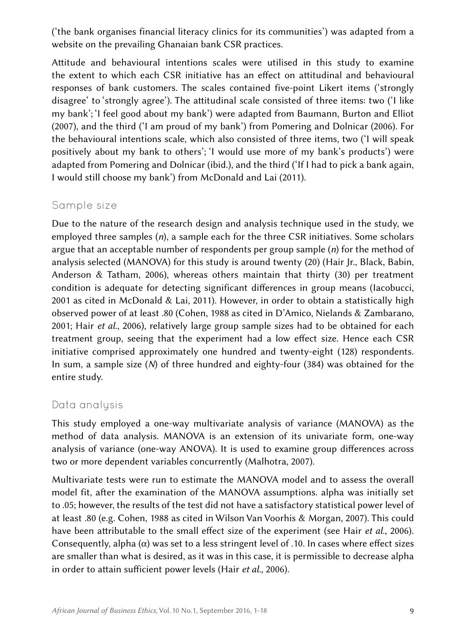('the bank organises financial literacy clinics for its communities') was adapted from a website on the prevailing Ghanaian bank CSR practices.

Attitude and behavioural intentions scales were utilised in this study to examine the extent to which each CSR initiative has an effect on attitudinal and behavioural responses of bank customers. The scales contained five-point Likert items ('strongly disagree' to 'strongly agree'). The attitudinal scale consisted of three items: two ('I like my bank'; 'I feel good about my bank') were adapted from Baumann, Burton and Elliot (2007), and the third ('I am proud of my bank') from Pomering and Dolnicar (2006). For the behavioural intentions scale, which also consisted of three items, two ('I will speak positively about my bank to others'; 'I would use more of my bank's products') were adapted from Pomering and Dolnicar (ibid.), and the third ('If I had to pick a bank again, I would still choose my bank') from McDonald and Lai (2011).

#### Sample size

Due to the nature of the research design and analysis technique used in the study, we employed three samples (*n*), a sample each for the three CSR initiatives. Some scholars argue that an acceptable number of respondents per group sample (*n*) for the method of analysis selected (MANOVA) for this study is around twenty (20) (Hair Jr., Black, Babin, Anderson & Tatham, 2006), whereas others maintain that thirty (30) per treatment condition is adequate for detecting significant differences in group means (Iacobucci, 2001 as cited in McDonald & Lai, 2011). However, in order to obtain a statistically high observed power of at least .80 (Cohen, 1988 as cited in D'Amico, Nielands & Zambarano, 2001; Hair *et al.*, 2006), relatively large group sample sizes had to be obtained for each treatment group, seeing that the experiment had a low effect size. Hence each CSR initiative comprised approximately one hundred and twenty-eight (128) respondents. In sum, a sample size (*N*) of three hundred and eighty-four (384) was obtained for the entire study.

#### Data analysis

This study employed a one-way multivariate analysis of variance (MANOVA) as the method of data analysis. MANOVA is an extension of its univariate form, one-way analysis of variance (one-way ANOVA). It is used to examine group differences across two or more dependent variables concurrently (Malhotra, 2007).

Multivariate tests were run to estimate the MANOVA model and to assess the overall model fit, after the examination of the MANOVA assumptions. alpha was initially set to .05; however, the results of the test did not have a satisfactory statistical power level of at least .80 (e.g. Cohen, 1988 as cited in Wilson Van Voorhis & Morgan, 2007). This could have been attributable to the small effect size of the experiment (see Hair *et al.*, 2006). Consequently, alpha  $(\alpha)$  was set to a less stringent level of .10. In cases where effect sizes are smaller than what is desired, as it was in this case, it is permissible to decrease alpha in order to attain sufficient power levels (Hair *et al.*, 2006).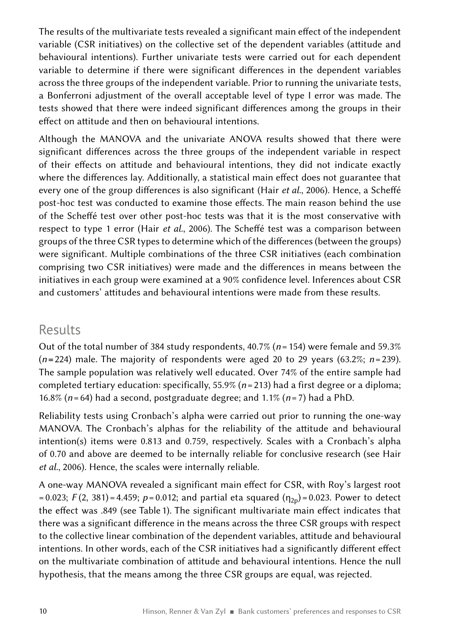The results of the multivariate tests revealed a significant main effect of the independent variable (CSR initiatives) on the collective set of the dependent variables (attitude and behavioural intentions). Further univariate tests were carried out for each dependent variable to determine if there were significant differences in the dependent variables across the three groups of the independent variable. Prior to running the univariate tests, a Bonferroni adjustment of the overall acceptable level of type I error was made. The tests showed that there were indeed significant differences among the groups in their effect on attitude and then on behavioural intentions.

Although the MANOVA and the univariate ANOVA results showed that there were significant differences across the three groups of the independent variable in respect of their effects on attitude and behavioural intentions, they did not indicate exactly where the differences lay. Additionally, a statistical main effect does not guarantee that every one of the group differences is also significant (Hair *et al.*, 2006). Hence, a Scheffé post-hoc test was conducted to examine those effects. The main reason behind the use of the Scheffé test over other post-hoc tests was that it is the most conservative with respect to type 1 error (Hair *et al.*, 2006). The Scheffé test was a comparison between groups of the three CSR types to determine which of the differences (between the groups) were significant. Multiple combinations of the three CSR initiatives (each combination comprising two CSR initiatives) were made and the differences in means between the initiatives in each group were examined at a 90% confidence level. Inferences about CSR and customers' attitudes and behavioural intentions were made from these results.

### Results

Out of the total number of 384 study respondents, 40.7% (*n*=154) were female and 59.3%  $(n=224)$  male. The majority of respondents were aged 20 to 29 years  $(63.2\%; n=239)$ . The sample population was relatively well educated. Over 74% of the entire sample had completed tertiary education: specifically, 55.9% (*n* = 213) had a first degree or a diploma; 16.8% (*n* = 64) had a second, postgraduate degree; and 1.1% (*n* = 7) had a PhD.

Reliability tests using Cronbach's alpha were carried out prior to running the one-way MANOVA. The Cronbach's alphas for the reliability of the attitude and behavioural intention(s) items were 0.813 and 0.759, respectively. Scales with a Cronbach's alpha of 0.70 and above are deemed to be internally reliable for conclusive research (see Hair *et al.*, 2006). Hence, the scales were internally reliable.

A one-way MANOVA revealed a significant main effect for CSR, with Roy's largest root  $= 0.023$ ; *F*(2, 381) $= 4.459$ ; *p* $= 0.012$ ; and partial eta squared ( $\eta_{2p}$ ) $= 0.023$ . Power to detect the effect was .849 (see Table 1). The significant multivariate main effect indicates that there was a significant difference in the means across the three CSR groups with respect to the collective linear combination of the dependent variables, attitude and behavioural intentions. In other words, each of the CSR initiatives had a significantly different effect on the multivariate combination of attitude and behavioural intentions. Hence the null hypothesis, that the means among the three CSR groups are equal, was rejected.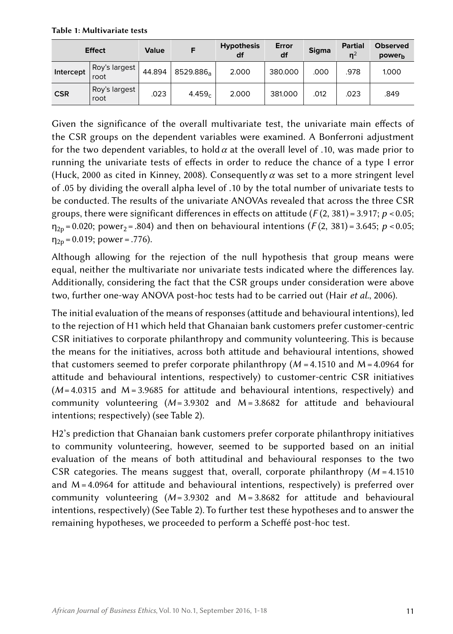Table 1: Multivariate tests

| <b>Effect</b> |                       | Value  |                       | <b>Hypothesis</b><br>df | Error<br>df | <b>Sigma</b> | <b>Partial</b><br>n <sup>2</sup> | <b>Observed</b><br>power <sub>h</sub> |
|---------------|-----------------------|--------|-----------------------|-------------------------|-------------|--------------|----------------------------------|---------------------------------------|
| Intercept     | Roy's largest<br>root | 44.894 | 8529.886 <sub>a</sub> | 2.000                   | 380,000     | .000         | .978                             | 1.000                                 |
| <b>CSR</b>    | Roy's largest<br>root | .023   | 4.459c                | 2.000                   | 381,000     | .012         | .023                             | .849                                  |

Given the significance of the overall multivariate test, the univariate main effects of the CSR groups on the dependent variables were examined. A Bonferroni adjustment for the two dependent variables, to hold  $\alpha$  at the overall level of .10, was made prior to running the univariate tests of effects in order to reduce the chance of a type I error (Huck, 2000 as cited in Kinney, 2008). Consequently *α* was set to a more stringent level of .05 by dividing the overall alpha level of .10 by the total number of univariate tests to be conducted. The results of the univariate ANOVAs revealed that across the three CSR groups, there were significant differences in effects on attitude ( $F(2, 381) = 3.917$ ;  $p < 0.05$ ;  $n_{2p} = 0.020$ ; power<sub>2</sub> = .804) and then on behavioural intentions (*F*(2, 381) = 3.645; *p* < 0.05;  $\eta_{2p} = 0.019$ ; power = .776).

Although allowing for the rejection of the null hypothesis that group means were equal, neither the multivariate nor univariate tests indicated where the differences lay. Additionally, considering the fact that the CSR groups under consideration were above two, further one-way ANOVA post-hoc tests had to be carried out (Hair *et al.*, 2006).

The initial evaluation of the means of responses (attitude and behavioural intentions), led to the rejection of H1 which held that Ghanaian bank customers prefer customer-centric CSR initiatives to corporate philanthropy and community volunteering. This is because the means for the initiatives, across both attitude and behavioural intentions, showed that customers seemed to prefer corporate philanthropy (*M*  = 4.1510 and M = 4.0964 for attitude and behavioural intentions, respectively) to customer-centric CSR initiatives (*M* = 4.0315 and M = 3.9685 for attitude and behavioural intentions, respectively) and community volunteering (*M* = 3.9302 and M = 3.8682 for attitude and behavioural intentions; respectively) (see Table  2).

H2's prediction that Ghanaian bank customers prefer corporate philanthropy initiatives to community volunteering, however, seemed to be supported based on an initial evaluation of the means of both attitudinal and behavioural responses to the two CSR categories. The means suggest that, overall, corporate philanthropy (*M*  = 4.1510 and M = 4.0964 for attitude and behavioural intentions, respectively) is preferred over community volunteering (*M* = 3.9302 and M = 3.8682 for attitude and behavioural intentions, respectively) (See Table  2). To further test these hypotheses and to answer the remaining hypotheses, we proceeded to perform a Scheffé post-hoc test.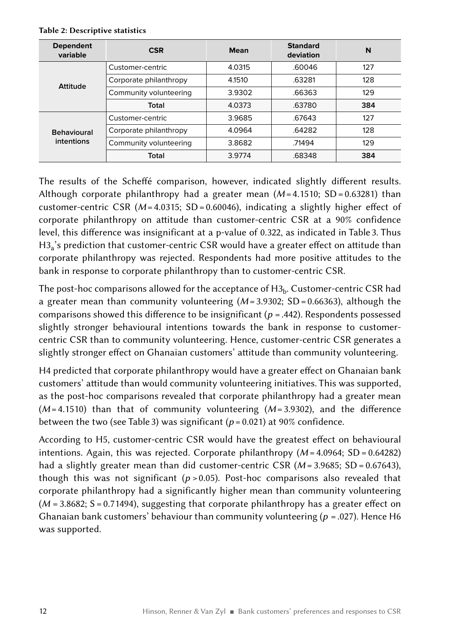| <b>Dependent</b><br>variable | <b>CSR</b>             | <b>Mean</b> | <b>Standard</b><br>deviation | N   |
|------------------------------|------------------------|-------------|------------------------------|-----|
|                              | Customer-centric       | 4.0315      | .60046                       | 127 |
| Attitude                     | Corporate philanthropy | 4.1510      | .63281                       | 128 |
|                              | Community volunteering | 3.9302      | .66363                       | 129 |
|                              | Total                  | 4.0373      | .63780                       | 384 |
|                              | Customer-centric       | 3.9685      | .67643                       | 127 |
| <b>Behavioural</b>           | Corporate philanthropy | 4.0964      | .64282                       | 128 |
| intentions                   | Community volunteering | 3.8682      | .71494                       | 129 |
|                              | Total                  | 3.9774      | .68348                       | 384 |

#### Table 2: Descriptive statistics

The results of the Scheffé comparison, however, indicated slightly different results. Although corporate philanthropy had a greater mean (*M* = 4.1510; SD = 0.63281) than customer-centric CSR (*M* = 4.0315; SD = 0.60046), indicating a slightly higher effect of corporate philanthropy on attitude than customer-centric CSR at a 90% confidence level, this difference was insignificant at a p-value of 0.322, as indicated in Table 3. Thus  $H3<sub>a</sub>$ 's prediction that customer-centric CSR would have a greater effect on attitude than corporate philanthropy was rejected. Respondents had more positive attitudes to the bank in response to corporate philanthropy than to customer-centric CSR.

The post-hoc comparisons allowed for the acceptance of  $H3<sub>b</sub>$ . Customer-centric CSR had a greater mean than community volunteering (*M* = 3.9302; SD = 0.66363), although the comparisons showed this difference to be insignificant (*p*  = .442). Respondents possessed slightly stronger behavioural intentions towards the bank in response to customercentric CSR than to community volunteering. Hence, customer-centric CSR generates a slightly stronger effect on Ghanaian customers' attitude than community volunteering.

H4 predicted that corporate philanthropy would have a greater effect on Ghanaian bank customers' attitude than would community volunteering initiatives. This was supported, as the post-hoc comparisons revealed that corporate philanthropy had a greater mean (*M* = 4.1510) than that of community volunteering (*M* = 3.9302), and the difference between the two (see Table 3) was significant ( $p = 0.021$ ) at 90% confidence.

According to H5, customer-centric CSR would have the greatest effect on behavioural intentions. Again, this was rejected. Corporate philanthropy ( $M$  = 4.0964; SD = 0.64282) had a slightly greater mean than did customer-centric CSR ( $M = 3.9685$ ; SD = 0.67643), though this was not significant (*p*  > 0.05). Post-hoc comparisons also revealed that corporate philanthropy had a significantly higher mean than community volunteering (*M* = 3.8682; S = 0.71494), suggesting that corporate philanthropy has a greater effect on Ghanaian bank customers' behaviour than community volunteering (*p*  = .027). Hence H6 was supported.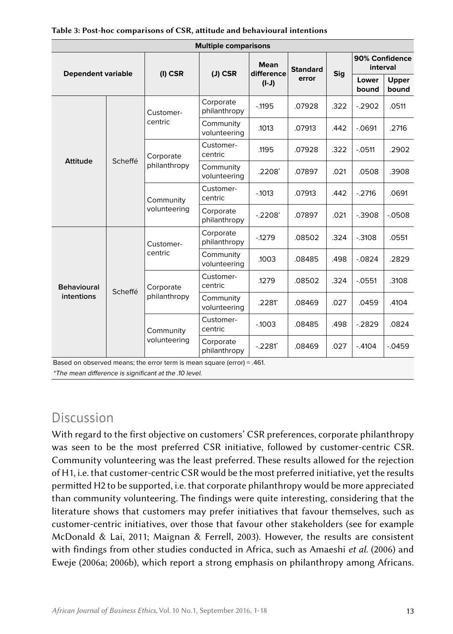| <b>Multiple comparisons</b> |         |                           |                           |                           |                 |      |                            |                |
|-----------------------------|---------|---------------------------|---------------------------|---------------------------|-----------------|------|----------------------------|----------------|
| <b>Dependent variable</b>   |         | $(I)$ CSR                 | $(J)$ CSR                 | <b>Mean</b><br>difference | <b>Standard</b> | Sig  | 90% Confidence<br>interval |                |
|                             |         |                           |                           | $(L-l)$                   | error           |      | Lower<br>bound             | Upper<br>bound |
| <b>Attitude</b>             | Scheffé | Customer-<br>centric      | Corporate<br>philanthropy | $-1195$                   | .07928          | .322 | $-2902$                    | .0511          |
|                             |         |                           | Community<br>volunteering | .1013                     | .07913          | .442 | $-0691$                    | .2716          |
|                             |         | Corporate<br>philanthropy | Customer-<br>centric      | .1195                     | .07928          | .322 | $-0.0511$                  | .2902          |
|                             |         |                           | Community<br>volunteering | .2208*                    | .07897          | .021 | .0508                      | .3908          |
|                             |         | Community<br>volunteering | Customer-<br>centric      | $-1013$                   | .07913          | .442 | $-2716$                    | .0691          |
|                             |         |                           | Corporate<br>philanthropy | $-2208$ <sup>*</sup>      | .07897          | .021 | $-0.3908$                  | $-0508$        |
|                             | Scheffé | Customer-<br>centric      | Corporate<br>philanthropy | $-1279$                   | .08502          | .324 | $-0.3108$                  | .0551          |
|                             |         |                           | Community<br>volunteering | 1003                      | .08485          | .498 | $-0824$                    | .2829          |
| <b>Behavioural</b>          |         | Corporate<br>philanthropy | Customer-<br>centric      | 1279                      | .08502          | .324 | $-0551$                    | .3108          |
| intentions                  |         |                           | Community<br>volunteering | .2281*                    | .08469          | .027 | .0459                      | .4104          |
|                             |         | Community<br>volunteering | Customer-<br>centric      | $-1003$                   | .08485          | .498 | $-2829$                    | .0824          |
|                             |         |                           | Corporate<br>philanthropy | $-.2281$ <sup>*</sup>     | .08469          | .027 | $-4104$                    | $-0.0459$      |

Based on observed means; the error term is mean square (error) = .461.

\* The mean difference is significant at the .10 level.

# Discussion

With regard to the first objective on customers' CSR preferences, corporate philanthropy was seen to be the most preferred CSR initiative, followed by customer-centric CSR. Community volunteering was the least preferred. These results allowed for the rejection of H1, i.e. that customer-centric CSR would be the most preferred initiative, yet the results permitted H2 to be supported, i.e. that corporate philanthropy would be more appreciated than community volunteering. The findings were quite interesting, considering that the literature shows that customers may prefer initiatives that favour themselves, such as customer-centric initiatives, over those that favour other stakeholders (see for example McDonald & Lai, 2011; Maignan & Ferrell, 2003). However, the results are consistent with findings from other studies conducted in Africa, such as Amaeshi *et al.* (2006) and Eweje (2006a; 2006b), which report a strong emphasis on philanthropy among Africans.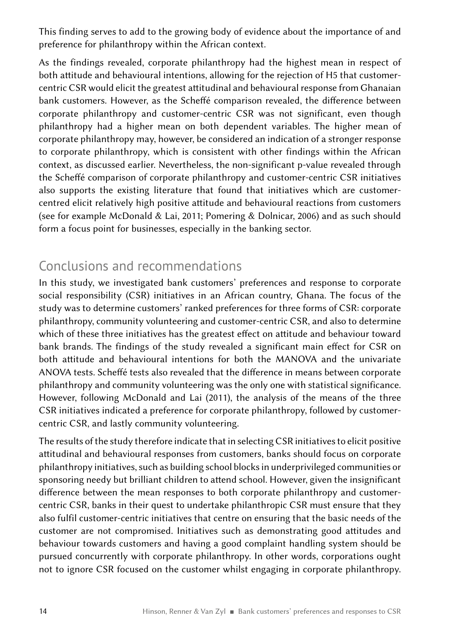This finding serves to add to the growing body of evidence about the importance of and preference for philanthropy within the African context.

As the findings revealed, corporate philanthropy had the highest mean in respect of both attitude and behavioural intentions, allowing for the rejection of H5 that customercentric CSR would elicit the greatest attitudinal and behavioural response from Ghanaian bank customers. However, as the Scheffé comparison revealed, the difference between corporate philanthropy and customer-centric CSR was not significant, even though philanthropy had a higher mean on both dependent variables. The higher mean of corporate philanthropy may, however, be considered an indication of a stronger response to corporate philanthropy, which is consistent with other findings within the African context, as discussed earlier. Nevertheless, the non-significant p-value revealed through the Scheffé comparison of corporate philanthropy and customer-centric CSR initiatives also supports the existing literature that found that initiatives which are customercentred elicit relatively high positive attitude and behavioural reactions from customers (see for example McDonald & Lai, 2011; Pomering & Dolnicar, 2006) and as such should form a focus point for businesses, especially in the banking sector.

# Conclusions and recommendations

In this study, we investigated bank customers' preferences and response to corporate social responsibility (CSR) initiatives in an African country, Ghana. The focus of the study was to determine customers' ranked preferences for three forms of CSR: corporate philanthropy, community volunteering and customer-centric CSR, and also to determine which of these three initiatives has the greatest effect on attitude and behaviour toward bank brands. The findings of the study revealed a significant main effect for CSR on both attitude and behavioural intentions for both the MANOVA and the univariate ANOVA tests. Scheffé tests also revealed that the difference in means between corporate philanthropy and community volunteering was the only one with statistical significance. However, following McDonald and Lai (2011), the analysis of the means of the three CSR initiatives indicated a preference for corporate philanthropy, followed by customercentric CSR, and lastly community volunteering.

The results of the study therefore indicate that in selecting CSR initiatives to elicit positive attitudinal and behavioural responses from customers, banks should focus on corporate philanthropy initiatives, such as building school blocks in underprivileged communities or sponsoring needy but brilliant children to attend school. However, given the insignificant difference between the mean responses to both corporate philanthropy and customercentric CSR, banks in their quest to undertake philanthropic CSR must ensure that they also fulfil customer-centric initiatives that centre on ensuring that the basic needs of the customer are not compromised. Initiatives such as demonstrating good attitudes and behaviour towards customers and having a good complaint handling system should be pursued concurrently with corporate philanthropy. In other words, corporations ought not to ignore CSR focused on the customer whilst engaging in corporate philanthropy.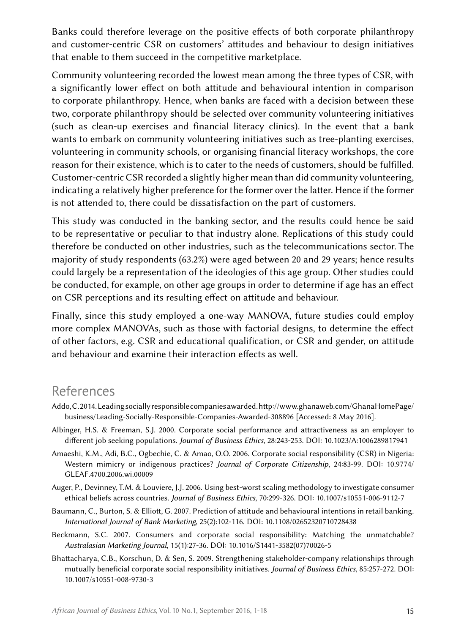Banks could therefore leverage on the positive effects of both corporate philanthropy and customer-centric CSR on customers' attitudes and behaviour to design initiatives that enable to them succeed in the competitive marketplace.

Community volunteering recorded the lowest mean among the three types of CSR, with a significantly lower effect on both attitude and behavioural intention in comparison to corporate philanthropy. Hence, when banks are faced with a decision between these two, corporate philanthropy should be selected over community volunteering initiatives (such as clean-up exercises and financial literacy clinics). In the event that a bank wants to embark on community volunteering initiatives such as tree-planting exercises, volunteering in community schools, or organising financial literacy workshops, the core reason for their existence, which is to cater to the needs of customers, should be fulfilled. Customer-centric CSR recorded a slightly higher mean than did community volunteering, indicating a relatively higher preference for the former over the latter. Hence if the former is not attended to, there could be dissatisfaction on the part of customers.

This study was conducted in the banking sector, and the results could hence be said to be representative or peculiar to that industry alone. Replications of this study could therefore be conducted on other industries, such as the telecommunications sector. The majority of study respondents (63.2%) were aged between 20 and 29 years; hence results could largely be a representation of the ideologies of this age group. Other studies could be conducted, for example, on other age groups in order to determine if age has an effect on CSR perceptions and its resulting effect on attitude and behaviour.

Finally, since this study employed a one-way MANOVA, future studies could employ more complex MANOVAs, such as those with factorial designs, to determine the effect of other factors, e.g. CSR and educational qualification, or CSR and gender, on attitude and behaviour and examine their interaction effects as well.

### References

- Addo, C. 2014. Leading socially responsible companies awarded. [http://www.ghanaweb.com/GhanaHomePage/](http://www.ghanaweb.com/GhanaHomePage/business/Leading-Socially-Responsible-Companies-Awarded-308896) [business/Leading-Socially-Responsible-Companies-Awarded-308896](http://www.ghanaweb.com/GhanaHomePage/business/Leading-Socially-Responsible-Companies-Awarded-308896) [Accessed: 8 May 2016].
- Albinger, H.S. & Freeman, S.J. 2000. Corporate social performance and attractiveness as an employer to different job seeking populations. *Journal of Business Ethics*, 28:243-253. DOI: [10.1023/A:1006289817941](http://dx.doi.org/10.1023/A:1006289817941)
- Amaeshi, K.M., Adi, B.C., Ogbechie, C. & Amao, O.O. 2006. Corporate social responsibility (CSR) in Nigeria: Western mimicry or indigenous practices? *Journal of Corporate Citizenship*, 24:83-99. DOI: [10.9774/](http://dx.doi.org/10.9774/GLEAF.4700.2006.wi.00009) [GLEAF.4700.2006.wi.00009](http://dx.doi.org/10.9774/GLEAF.4700.2006.wi.00009)
- Auger, P., Devinney, T.M. & Louviere, J.J. 2006. Using best-worst scaling methodology to investigate consumer ethical beliefs across countries. *Journal of Business Ethics*, 70:299-326. DOI: [10.1007/s10551-006-9112-7](http://dx.doi.org/10.1007/s10551-006-9112-7)
- Baumann, C., Burton, S. & Elliott, G. 2007. Prediction of attitude and behavioural intentions in retail banking. *International Journal of Bank Marketing*, 25(2):102-116. DOI: [10.1108/02652320710728438](http://dx.doi.org/10.1108/02652320710728438)
- Beckmann, S.C. 2007. Consumers and corporate social responsibility: Matching the unmatchable? *Australasian Marketing Journal*, 15(1):27-36. DOI: [10.1016/S1441-3582\(07\)70026-5](http://dx.doi.org/10.1016/S1441-3582(07)70026-5)
- Bhattacharya, C.B., Korschun, D. & Sen, S. 2009. Strengthening stakeholder-company relationships through mutually beneficial corporate social responsibility initiatives. *Journal of Business Ethics*, 85:257-272. DOI: [10.1007/s10551-008-9730-3](http://dx.doi.org/10.1007/s10551-008-9730-3)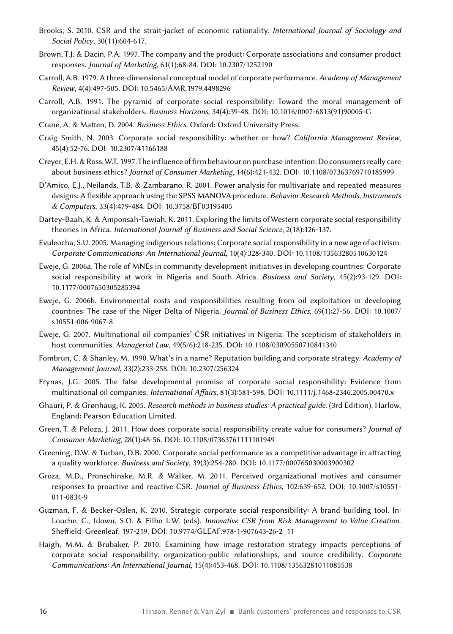- Brooks, S. 2010. CSR and the strait-jacket of economic rationality. *International Journal of Sociology and Social Policy*, 30(11):604-617.
- Brown, T.J. & Dacin, P.A. 1997. The company and the product: Corporate associations and consumer product responses. *Journal of Marketing*, 61(1):68-84. DOI: [10.2307/1252190](http://dx.doi.org/10.1007/s10551-008-9730-3)
- Carroll, A.B. 1979. A three-dimensional conceptual model of corporate performance. *Academy of Management Review*, 4(4):497-505. DOI: [10.5465/AMR.1979.4498296](http://dx.doi.org/10.5465/AMR.1979.4498296)
- Carroll, A.B. 1991. The pyramid of corporate social responsibility: Toward the moral management of organizational stakeholders. *Business Horizons*, 34(4):39-48. DOI: [10.1016/0007-6813\(91\)90005-G](http://dx.doi.org/10.1016/0007-6813(91)90005-G)
- Crane, A. & Matten, D. 2004. *Business Ethics*. Oxford: Oxford University Press.
- Craig Smith, N. 2003. Corporate social responsibility: whether or how? *California Management Review*, 45(4):52-76. DOI: [10.2307/41166188](http://dx.doi.org/10.2307/41166188)
- Creyer, E.H. & Ross, W.T. 1997. The influence of firm behaviour on purchase intention: Do consumers really care about business ethics? *Journal of Consumer Marketing*, 14(6):421-432. DOI: [10.1108/07363769710185999](http://dx.doi.org/10.1108/07363769710185999)
- D'Amico, E.J., Neilands, T.B. & Zambarano, R. 2001. Power analysis for multivariate and repeated measures designs: A flexible approach using the SPSS MANOVA procedure. *Behavior Research Methods, Instruments & Computers*, 33(4):479-484. DOI: [10.3758/BF03195405](http://dx.doi.org/10.3758/BF03195405)
- Dartey-Baah, K. & Amponsah-Tawiah, K. 2011. Exploring the limits of Western corporate social responsibility theories in Africa. *International Journal of Business and Social Science*, 2(18):126-137.
- Evuleocha, S.U. 2005. Managing indigenous relations: Corporate social responsibility in a new age of activism. *Corporate Communications: An International Journal*, 10(4):328-340. DOI: [10.1108/13563280510630124](http://dx.doi.org/10.1108/13563280510630124)
- Eweje, G. 2006a. The role of MNEs in community development initiatives in developing countries: Corporate social responsibility at work in Nigeria and South Africa. *Business and Society*, 45(2):93-129. DOI: [10.1177/0007650305285394](http://dx.doi.org/10.1177/0007650305285394)
- Eweje, G. 2006b. Environmental costs and responsibilities resulting from oil exploitation in developing countries: The case of the Niger Delta of Nigeria. *Journal of Business Ethics*, 69(1):27-56. DOI: [10.1007/](http://dx.doi.org/10.1007/s10551-006-9067-8) [s10551-006-9067-8](http://dx.doi.org/10.1007/s10551-006-9067-8)
- Eweje, G. 2007. Multinational oil companies' CSR initiatives in Nigeria: The scepticism of stakeholders in host communities. *Managerial Law*, 49(5/6):218-235. DOI: [10.1108/03090550710841340](http://dx.doi.org/10.1108/03090550710841340)
- Fombrun, C. & Shanley, M. 1990. What's in a name? Reputation building and corporate strategy. *Academy of Management Journal*, 33(2):233-258. DOI: [10.2307/256324](http://dx.doi.org/10.2307/256324)
- Frynas, J.G. 2005. The false developmental promise of corporate social responsibility: Evidence from multinational oil companies. *International Affairs*, 81(3):581-598. DOI: [10.1111/j.1468-2346.2005.00470.x](http://dx.doi.org/10.1111/j.1468-2346.2005.00470.x)
- Ghauri, P. & Grønhaug, K. 2005. *Research methods in business studies: A practical guide.* (3rd Edition). Harlow, England: Pearson Education Limited.
- Green, T. & Peloza, J. 2011. How does corporate social responsibility create value for consumers? *Journal of Consumer Marketing*, 28(1):48-56. DOI: [10.1108/07363761111101949](http://dx.doi.org/10.1108/07363761111101949)
- Greening, D.W. & Turban, D.B. 2000. Corporate social performance as a competitive advantage in attracting a quality workforce. *Business and Society*, 39(3):254-280. DOI: [10.1177/000765030003900302](http://dx.doi.org/10.1177/000765030003900302)
- Groza, M.D., Pronschinske, M.R. & Walker, M. 2011. Perceived organizational motives and consumer responses to proactive and reactive CSR. *Journal of Business Ethics*, 102:639-652. DOI: [10.1007/s10551-](http://dx.doi.org/10.1007/s10551-011-0834-9) [011-0834-9](http://dx.doi.org/10.1007/s10551-011-0834-9)
- Guzman, F. & Becker-Oslen, K. 2010. Strategic corporate social responsibility: A brand building tool. In: Louche, C., Idowu, S.O. & Filho L.W. (eds). *Innovative CSR from Risk Management to Value Creation*. Sheffield: Greenleaf. 197-219. DOI: [10.9774/GLEAF.978-1-907643-26-2\\_11](http://dx.doi.org/10.9774/GLEAF.978-1-907643-26-2_11)
- Haigh, M.M. & Brubaker, P. 2010. Examining how image restoration strategy impacts perceptions of corporate social responsibility, organization-public relationships, and source credibility. *Corporate Communications: An International Journal*, 15(4):453-468. DOI: [10.1108/13563281011085538](http://dx.doi.org/10.1108/13563281011085538)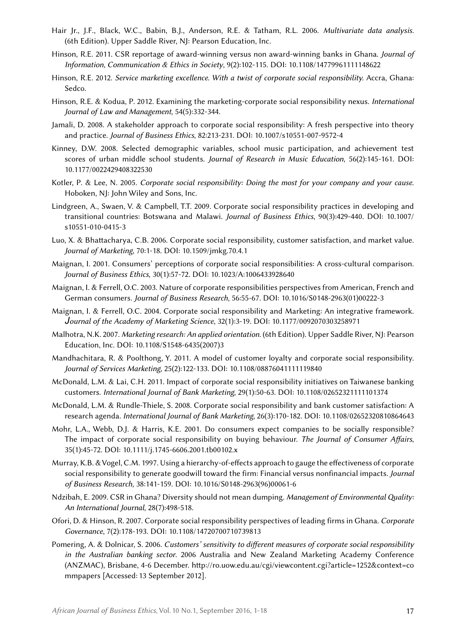- Hair Jr., J.F., Black, W.C., Babin, B.J., Anderson, R.E. & Tatham, R.L. 2006. *Multivariate data analysis.* (6th Edition). Upper Saddle River, NJ: Pearson Education, Inc.
- Hinson, R.E. 2011. CSR reportage of award-winning versus non award-winning banks in Ghana. *Journal of Information, Communication & Ethics in Society*, 9(2):102-115. DOI: [10.1108/14779961111148622](http://dx.doi.org/10.1108/14779961111148622)
- Hinson, R.E. 2012. *Service marketing excellence. With a twist of corporate social responsibility.* Accra, Ghana: Sedco.
- Hinson, R.E. & Kodua, P. 2012. Examining the marketing-corporate social responsibility nexus. *International Journal of Law and Management*, 54(5):332-344.
- Jamali, D. 2008. A stakeholder approach to corporate social responsibility: A fresh perspective into theory and practice. *Journal of Business Ethics*, 82:213-231. DOI: [10.1007/s10551-007-9572-4](http://dx.doi.org/10.1007/s10551-007-9572-4)
- Kinney, D.W. 2008. Selected demographic variables, school music participation, and achievement test scores of urban middle school students. *Journal of Research in Music Education*, 56(2):145-161. DOI: [10.1177/0022429408322530](http://dx.doi.org/10.1177/0022429408322530)
- Kotler, P. & Lee, N. 2005. *Corporate social responsibility: Doing the most for your company and your cause*. Hoboken, NJ: John Wiley and Sons, Inc.
- Lindgreen, A., Swaen, V. & Campbell, T.T. 2009. Corporate social responsibility practices in developing and transitional countries: Botswana and Malawi. *Journal of Business Ethics*, 90(3):429-440. DOI: [10.1007/](http://dx.doi.org/10.1007/s10551-010-0415-3) [s10551-010-0415-3](http://dx.doi.org/10.1007/s10551-010-0415-3)
- Luo, X. & Bhattacharya, C.B. 2006. Corporate social responsibility, customer satisfaction, and market value. *Journal of Marketing*, 70:1-18. DOI: [10.1509/jmkg.70.4.1](http://dx.doi.org/10.1509/jmkg.70.4.1)
- Maignan, I. 2001. Consumers' perceptions of corporate social responsibilities: A cross-cultural comparison. *Journal of Business Ethics*, 30(1):57-72. DOI: [10.1023/A:1006433928640](http://dx.doi.org/10.1023/A:1006433928640)
- Maignan, I. & Ferrell, O.C. 2003. Nature of corporate responsibilities perspectives from American, French and German consumers. *Journal of Business Research*, 56:55-67. DOI: [10.1016/S0148-2963\(01\)00222-3](http://dx.doi.org/10.1016/S0148-2963(01)00222-3)
- Maignan, I. & Ferrell, O.C. 2004. Corporate social responsibility and Marketing: An integrative framework. *Journal of the Academy of Marketing Science*, 32(1):3-19. DOI: [10.1177/0092070303258971](http://dx.doi.org/10.1177/0092070303258971)
- Malhotra, N.K. 2007. *Marketing research: An applied orientation.* (6th Edition). Upper Saddle River, NJ: Pearson Education, Inc. DOI: [10.1108/S1548-6435\(2007\)3](http://dx.doi.org/10.1108/S1548-6435(2007)3)
- Mandhachitara, R. & Poolthong, Y. 2011. A model of customer loyalty and corporate social responsibility. *Journal of Services Marketing*, 25(2):122-133. DOI: [10.1108/08876041111119840](http://dx.doi.org/10.1108/08876041111119840)
- McDonald, L.M. & Lai, C.H. 2011. Impact of corporate social responsibility initiatives on Taiwanese banking customers. *International Journal of Bank Marketing*, 29(1):50-63. DOI: [10.1108/02652321111101374](http://dx.doi.org/10.1108/02652321111101374)
- McDonald, L.M. & Rundle-Thiele, S. 2008. Corporate social responsibility and bank customer satisfaction: A research agenda. *International Journal of Bank Marketing*, 26(3):170-182. DOI: [10.1108/02652320810864643](http://dx.doi.org/10.1108/02652320810864643)
- Mohr, L.A., Webb, D.J. & Harris, K.E. 2001. Do consumers expect companies to be socially responsible? The impact of corporate social responsibility on buying behaviour. *The Journal of Consumer Affairs*, 35(1):45-72. DOI: [10.1111/j.1745-6606.2001.tb00102.x](http://dx.doi.org/10.1111/j.1745-6606.2001.tb00102.x)
- Murray, K.B. & Vogel, C.M. 1997. Using a hierarchy-of-effects approach to gauge the effectiveness of corporate social responsibility to generate goodwill toward the firm: Financial versus nonfinancial impacts. *Journal of Business Research*, 38:141-159. DOI: [10.1016/S0148-2963\(96\)00061-6](http://dx.doi.org/10.1016/S0148-2963(96)00061-6)
- Ndzibah, E. 2009. CSR in Ghana? Diversity should not mean dumping. *Management of Environmental Quality: An International Journal*, 28(7):498-518.
- Ofori, D. & Hinson, R. 2007. Corporate social responsibility perspectives of leading firms in Ghana. *Corporate Governance*, 7(2):178-193. DOI: [10.1108/14720700710739813](http://dx.doi.org/10.1108/14720700710739813)
- Pomering, A. & Dolnicar, S. 2006. *Customers' sensitivity to different measures of corporate social responsibility in the Australian banking sector*. 2006 Australia and New Zealand Marketing Academy Conference (ANZMAC), Brisbane, 4-6 December. [http://ro.uow.edu.au/cgi/viewcontent.cgi?article=1252&context=co](http://ro.uow.edu.au/cgi/viewcontent.cgi?article=1252&context=commpapers) [mmpapers](http://ro.uow.edu.au/cgi/viewcontent.cgi?article=1252&context=commpapers) [Accessed: 13 September 2012].